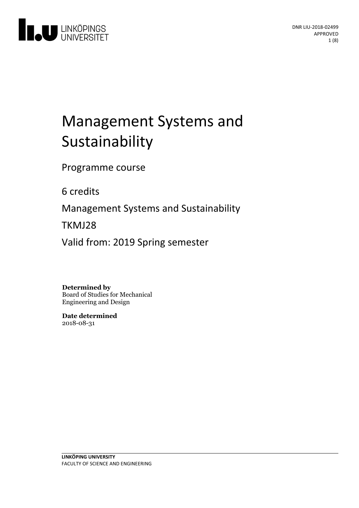

# Management Systems and Sustainability

Programme course

6 credits

Management Systems and Sustainability

TKMJ28

Valid from: 2019 Spring semester

**Determined by**

Board of Studies for Mechanical Engineering and Design

**Date determined** 2018-08-31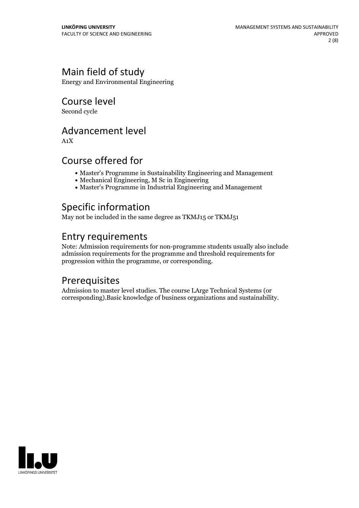## Main field of study

Energy and Environmental Engineering

Course level

Second cycle

## Advancement level

A1X

## Course offered for

- Master's Programme in Sustainability Engineering and Management
- Mechanical Engineering, M Sc in Engineering
- Master's Programme in Industrial Engineering and Management

## Specific information

May not be included in the same degree as TKMJ15 or TKMJ51

## Entry requirements

Note: Admission requirements for non-programme students usually also include admission requirements for the programme and threshold requirements for progression within the programme, or corresponding.

## **Prerequisites**

Admission to master level studies. The course LArge Technical Systems (or corresponding).Basic knowledge of business organizations and sustainability.

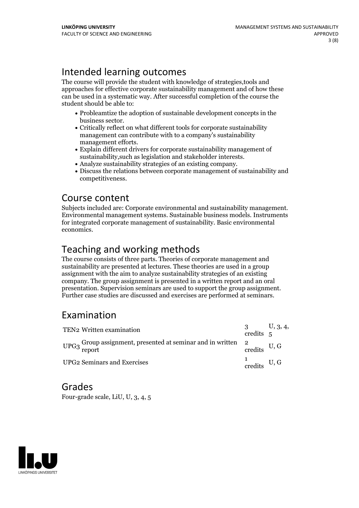## Intended learning outcomes

The course will provide the student with knowledge of strategies,tools and approaches for effective corporate sustainability management and of how these can be used in a systematic way. After successful completion of the course the student should be able to:

- Probleamtize the adoption of sustainable development concepts in the
- business sector.<br>• Critically reflect on what different tools for corporate sustainability management can contribute with to a company's sustainability
- management efforts.<br>• Explain different drivers for corporate sustainability management of sustainability.<br>such as legislation and stakeholder interests.
- 
- Analyze sustainability strategies of an existing company.<br>• Discuss the relations between corporate management of sustainability and competitiveness.

**Course content**<br>Subjects included are: Corporate environmental and sustainability management. Environmental management systems. Sustainable business models. Instruments for integrated corporate management of sustainability. Basic environmental economics.

## Teaching and working methods

The course consists of three parts. Theories of corporate management and sustainability are presented at lectures. These theories are used in a group assignment with the aim to analyze sustainability strategies of an existing company. The group assignment is presented in a written report and an oral presentation. Supervision seminars are used to support the group assignment. Further case studies are discussed and exercises are performed at seminars.

## Examination

| TEN2 Written examination                                                            |                                 | $\frac{3}{3}$ U, 3, 4, credits 5 |
|-------------------------------------------------------------------------------------|---------------------------------|----------------------------------|
| UPG3 Group assignment, presented at seminar and in written $2$ credits U, G credits |                                 |                                  |
| <b>UPG2 Seminars and Exercises</b>                                                  | $\frac{1}{\text{credits}}$ U, G |                                  |

## Grades

Four-grade scale, LiU, U, 3, 4, 5

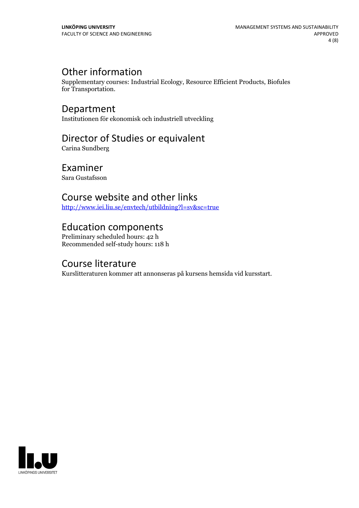## Other information

Supplementary courses: Industrial Ecology, Resource Efficient Products, Biofules for Transportation.

Department Institutionen för ekonomisk och industriell utveckling

## Director of Studies or equivalent

Carina Sundberg

## Examiner

Sara Gustafsson

## Course website and other links

<http://www.iei.liu.se/envtech/utbildning?l=sv&sc=true>

## Education components

Preliminary scheduled hours: 42 h Recommended self-study hours: 118 h

## Course literature

Kurslitteraturen kommer att annonseras på kursens hemsida vid kursstart.

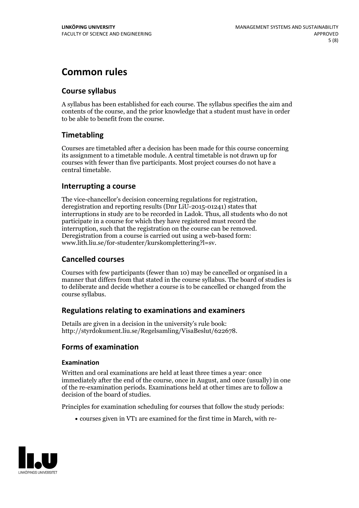## **Common rules**

### **Course syllabus**

A syllabus has been established for each course. The syllabus specifies the aim and contents of the course, and the prior knowledge that a student must have in order to be able to benefit from the course.

### **Timetabling**

Courses are timetabled after a decision has been made for this course concerning its assignment to a timetable module. A central timetable is not drawn up for courses with fewer than five participants. Most project courses do not have a central timetable.

#### **Interrupting a course**

The vice-chancellor's decision concerning regulations for registration, deregistration and reporting results (Dnr LiU-2015-01241) states that interruptions in study are to be recorded in Ladok. Thus, all students who do not participate in a course for which they have registered must record the interruption, such that the registration on the course can be removed. Deregistration from <sup>a</sup> course is carried outusing <sup>a</sup> web-based form: www.lith.liu.se/for-studenter/kurskomplettering?l=sv.

#### **Cancelled courses**

Courses with few participants (fewer than 10) may be cancelled or organised in a manner that differs from that stated in the course syllabus. The board of studies is to deliberate and decide whether a course is to be cancelled orchanged from the course syllabus.

#### **Regulations relatingto examinations and examiners**

Details are given in a decision in the university's rule book: http://styrdokument.liu.se/Regelsamling/VisaBeslut/622678.

### **Forms of examination**

#### **Examination**

Written and oral examinations are held at least three times a year: once immediately after the end of the course, once in August, and once (usually) in one of the re-examination periods. Examinations held at other times are to follow a decision of the board of studies.

Principles for examination scheduling for courses that follow the study periods:

courses given in VT1 are examined for the first time in March, with re-

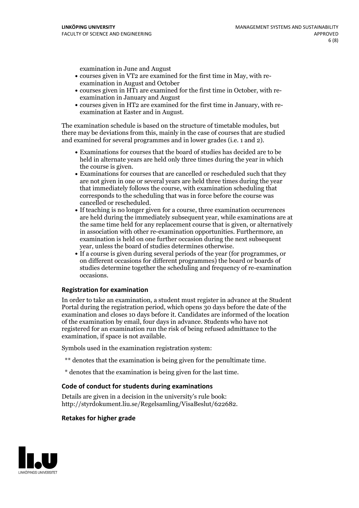examination in June and August

- courses given in VT2 are examined for the first time in May, with re-examination in August and October
- courses given in HT1 are examined for the first time in October, with re-examination in January and August
- courses given in HT2 are examined for the first time in January, with re-examination at Easter and in August.

The examination schedule is based on the structure of timetable modules, but there may be deviations from this, mainly in the case of courses that are studied and examined for several programmes and in lower grades (i.e. 1 and 2).

- Examinations for courses that the board of studies has decided are to be held in alternate years are held only three times during the year in which
- the course is given.<br>• Examinations for courses that are cancelled or rescheduled such that they are not given in one or several years are held three times during the year that immediately follows the course, with examination scheduling that corresponds to the scheduling that was in force before the course was cancelled or rescheduled.<br>• If teaching is no longer given for a course, three examination occurrences
- are held during the immediately subsequent year, while examinations are at the same time held for any replacement course that is given, or alternatively in association with other re-examination opportunities. Furthermore, an examination is held on one further occasion during the next subsequent year, unless the board of studies determines otherwise.<br>• If a course is given during several periods of the year (for programmes, or
- on different occasions for different programmes) the board orboards of studies determine together the scheduling and frequency of re-examination occasions.

#### **Registration for examination**

In order to take an examination, a student must register in advance at the Student Portal during the registration period, which opens 30 days before the date of the examination and closes 10 days before it. Candidates are informed of the location of the examination by email, four days in advance. Students who have not registered for an examination run the risk of being refused admittance to the examination, if space is not available.

Symbols used in the examination registration system:

- \*\* denotes that the examination is being given for the penultimate time.
- \* denotes that the examination is being given for the last time.

#### **Code of conduct for students during examinations**

Details are given in a decision in the university's rule book: http://styrdokument.liu.se/Regelsamling/VisaBeslut/622682.

#### **Retakes for higher grade**

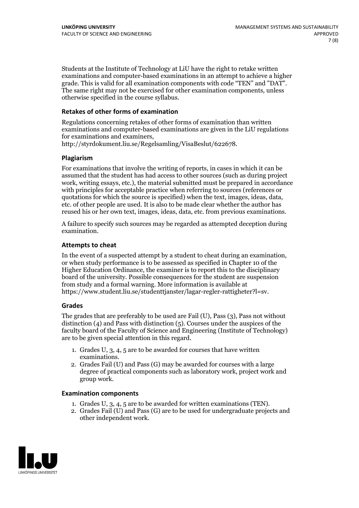Students at the Institute of Technology at LiU have the right to retake written examinations and computer-based examinations in an attempt to achieve a higher grade. This is valid for all examination components with code "TEN" and "DAT". The same right may not be exercised for other examination components, unless otherwise specified in the course syllabus.

#### **Retakes of other forms of examination**

Regulations concerning retakes of other forms of examination than written examinations and computer-based examinations are given in the LiU regulations for examinations and examiners, http://styrdokument.liu.se/Regelsamling/VisaBeslut/622678.

#### **Plagiarism**

For examinations that involve the writing of reports, in cases in which it can be assumed that the student has had access to other sources (such as during project work, writing essays, etc.), the material submitted must be prepared in accordance with principles for acceptable practice when referring to sources (references or quotations for which the source is specified) when the text, images, ideas, data, etc. of other people are used. It is also to be made clear whether the author has reused his or her own text, images, ideas, data, etc. from previous examinations.

A failure to specify such sources may be regarded as attempted deception during examination.

#### **Attempts to cheat**

In the event of <sup>a</sup> suspected attempt by <sup>a</sup> student to cheat during an examination, or when study performance is to be assessed as specified in Chapter <sup>10</sup> of the Higher Education Ordinance, the examiner is to report this to the disciplinary board of the university. Possible consequences for the student are suspension from study and a formal warning. More information is available at https://www.student.liu.se/studenttjanster/lagar-regler-rattigheter?l=sv.

#### **Grades**

The grades that are preferably to be used are Fail (U), Pass (3), Pass not without distinction  $(4)$  and Pass with distinction  $(5)$ . Courses under the auspices of the faculty board of the Faculty of Science and Engineering (Institute of Technology) are to be given special attention in this regard.

- 1. Grades U, 3, 4, 5 are to be awarded for courses that have written
- examinations. 2. Grades Fail (U) and Pass (G) may be awarded for courses with <sup>a</sup> large degree of practical components such as laboratory work, project work and group work.

#### **Examination components**

- 
- 1. Grades U, 3, 4, <sup>5</sup> are to be awarded for written examinations (TEN). 2. Grades Fail (U) and Pass (G) are to be used for undergraduate projects and other independent work.